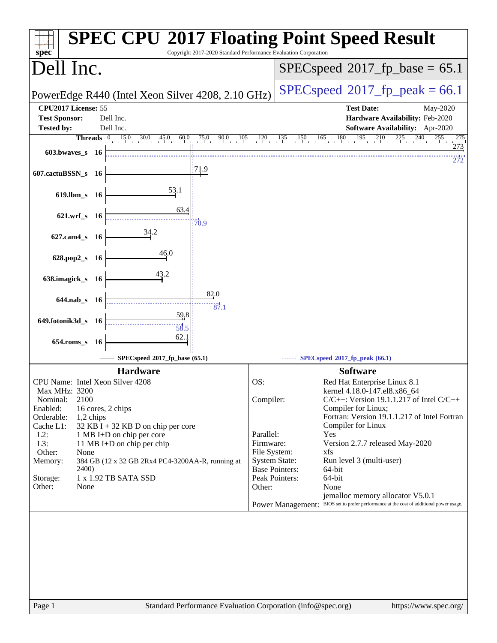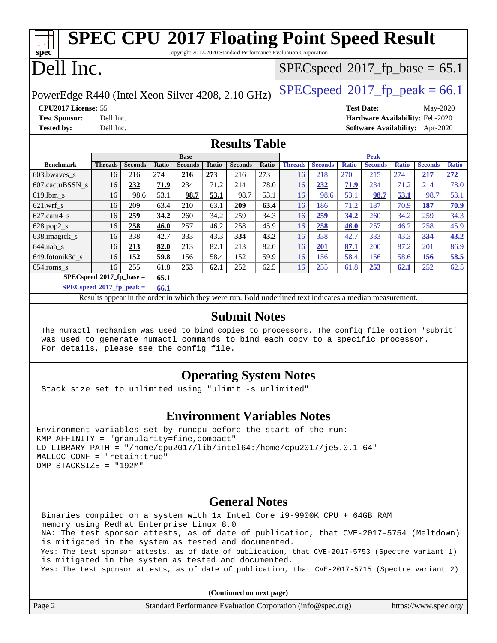### **[spec](http://www.spec.org/) [SPEC CPU](http://www.spec.org/auto/cpu2017/Docs/result-fields.html#SPECCPU2017FloatingPointSpeedResult)[2017 Floating Point Speed Result](http://www.spec.org/auto/cpu2017/Docs/result-fields.html#SPECCPU2017FloatingPointSpeedResult)** Copyright 2017-2020 Standard Performance Evaluation Corporation Dell Inc. PowerEdge R440 (Intel Xeon Silver 4208, 2.10 GHz)  $\left|$  [SPECspeed](http://www.spec.org/auto/cpu2017/Docs/result-fields.html#SPECspeed2017fppeak)<sup>®</sup>[2017\\_fp\\_peak = 6](http://www.spec.org/auto/cpu2017/Docs/result-fields.html#SPECspeed2017fppeak)6.1  $SPECspeed^{\circledcirc}2017$  $SPECspeed^{\circledcirc}2017$  fp base = 65.1 **[CPU2017 License:](http://www.spec.org/auto/cpu2017/Docs/result-fields.html#CPU2017License)** 55 **[Test Date:](http://www.spec.org/auto/cpu2017/Docs/result-fields.html#TestDate)** May-2020 **[Test Sponsor:](http://www.spec.org/auto/cpu2017/Docs/result-fields.html#TestSponsor)** Dell Inc. **[Hardware Availability:](http://www.spec.org/auto/cpu2017/Docs/result-fields.html#HardwareAvailability)** Feb-2020 **[Tested by:](http://www.spec.org/auto/cpu2017/Docs/result-fields.html#Testedby)** Dell Inc. **[Software Availability:](http://www.spec.org/auto/cpu2017/Docs/result-fields.html#SoftwareAvailability)** Apr-2020 **[Results Table](http://www.spec.org/auto/cpu2017/Docs/result-fields.html#ResultsTable) [Benchmark](http://www.spec.org/auto/cpu2017/Docs/result-fields.html#Benchmark) [Threads](http://www.spec.org/auto/cpu2017/Docs/result-fields.html#Threads) [Seconds](http://www.spec.org/auto/cpu2017/Docs/result-fields.html#Seconds) [Ratio](http://www.spec.org/auto/cpu2017/Docs/result-fields.html#Ratio) [Seconds](http://www.spec.org/auto/cpu2017/Docs/result-fields.html#Seconds) [Ratio](http://www.spec.org/auto/cpu2017/Docs/result-fields.html#Ratio) [Seconds](http://www.spec.org/auto/cpu2017/Docs/result-fields.html#Seconds) [Ratio](http://www.spec.org/auto/cpu2017/Docs/result-fields.html#Ratio) Base [Threads](http://www.spec.org/auto/cpu2017/Docs/result-fields.html#Threads) [Seconds](http://www.spec.org/auto/cpu2017/Docs/result-fields.html#Seconds) [Ratio](http://www.spec.org/auto/cpu2017/Docs/result-fields.html#Ratio) [Seconds](http://www.spec.org/auto/cpu2017/Docs/result-fields.html#Seconds) [Ratio](http://www.spec.org/auto/cpu2017/Docs/result-fields.html#Ratio) [Seconds](http://www.spec.org/auto/cpu2017/Docs/result-fields.html#Seconds) [Ratio](http://www.spec.org/auto/cpu2017/Docs/result-fields.html#Ratio) Peak** [603.bwaves\\_s](http://www.spec.org/auto/cpu2017/Docs/benchmarks/603.bwaves_s.html) 16 216 274 **[216](http://www.spec.org/auto/cpu2017/Docs/result-fields.html#Median) [273](http://www.spec.org/auto/cpu2017/Docs/result-fields.html#Median)** 216 273 16 218 270 215 274 **[217](http://www.spec.org/auto/cpu2017/Docs/result-fields.html#Median) [272](http://www.spec.org/auto/cpu2017/Docs/result-fields.html#Median)**

[607.cactuBSSN\\_s](http://www.spec.org/auto/cpu2017/Docs/benchmarks/607.cactuBSSN_s.html) 16 **[232](http://www.spec.org/auto/cpu2017/Docs/result-fields.html#Median) [71.9](http://www.spec.org/auto/cpu2017/Docs/result-fields.html#Median)** 234 71.2 214 78.0 16 **[232](http://www.spec.org/auto/cpu2017/Docs/result-fields.html#Median) [71.9](http://www.spec.org/auto/cpu2017/Docs/result-fields.html#Median)** 234 71.2 214 78.0 [619.lbm\\_s](http://www.spec.org/auto/cpu2017/Docs/benchmarks/619.lbm_s.html) 16 98.6 53.1 **[98.7](http://www.spec.org/auto/cpu2017/Docs/result-fields.html#Median) [53.1](http://www.spec.org/auto/cpu2017/Docs/result-fields.html#Median)** 98.7 53.1 16 98.6 53.1 **[98.7](http://www.spec.org/auto/cpu2017/Docs/result-fields.html#Median) [53.1](http://www.spec.org/auto/cpu2017/Docs/result-fields.html#Median)** 98.7 53.1 [621.wrf\\_s](http://www.spec.org/auto/cpu2017/Docs/benchmarks/621.wrf_s.html) 16 209 63.4 210 63.1 **[209](http://www.spec.org/auto/cpu2017/Docs/result-fields.html#Median) [63.4](http://www.spec.org/auto/cpu2017/Docs/result-fields.html#Median)** 16 186 71.2 187 70.9 **[187](http://www.spec.org/auto/cpu2017/Docs/result-fields.html#Median) [70.9](http://www.spec.org/auto/cpu2017/Docs/result-fields.html#Median)** [627.cam4\\_s](http://www.spec.org/auto/cpu2017/Docs/benchmarks/627.cam4_s.html) 16 **[259](http://www.spec.org/auto/cpu2017/Docs/result-fields.html#Median) [34.2](http://www.spec.org/auto/cpu2017/Docs/result-fields.html#Median)** 260 34.2 259 34.3 16 **[259](http://www.spec.org/auto/cpu2017/Docs/result-fields.html#Median) [34.2](http://www.spec.org/auto/cpu2017/Docs/result-fields.html#Median)** 260 34.2 259 34.3 [628.pop2\\_s](http://www.spec.org/auto/cpu2017/Docs/benchmarks/628.pop2_s.html) 16 **[258](http://www.spec.org/auto/cpu2017/Docs/result-fields.html#Median) [46.0](http://www.spec.org/auto/cpu2017/Docs/result-fields.html#Median)** 257 46.2 258 45.9 16 **[258](http://www.spec.org/auto/cpu2017/Docs/result-fields.html#Median) [46.0](http://www.spec.org/auto/cpu2017/Docs/result-fields.html#Median)** 257 46.2 258 45.9 [638.imagick\\_s](http://www.spec.org/auto/cpu2017/Docs/benchmarks/638.imagick_s.html) 16 338 42.7 333 43.3 **[334](http://www.spec.org/auto/cpu2017/Docs/result-fields.html#Median) [43.2](http://www.spec.org/auto/cpu2017/Docs/result-fields.html#Median)** 16 338 42.7 333 43.3 **[334](http://www.spec.org/auto/cpu2017/Docs/result-fields.html#Median) [43.2](http://www.spec.org/auto/cpu2017/Docs/result-fields.html#Median)** [644.nab\\_s](http://www.spec.org/auto/cpu2017/Docs/benchmarks/644.nab_s.html) 16 **[213](http://www.spec.org/auto/cpu2017/Docs/result-fields.html#Median) [82.0](http://www.spec.org/auto/cpu2017/Docs/result-fields.html#Median)** 213 82.1 213 82.0 16 **[201](http://www.spec.org/auto/cpu2017/Docs/result-fields.html#Median) [87.1](http://www.spec.org/auto/cpu2017/Docs/result-fields.html#Median)** 200 87.2 201 86.9 [649.fotonik3d\\_s](http://www.spec.org/auto/cpu2017/Docs/benchmarks/649.fotonik3d_s.html) 16 **[152](http://www.spec.org/auto/cpu2017/Docs/result-fields.html#Median) [59.8](http://www.spec.org/auto/cpu2017/Docs/result-fields.html#Median)** 156 58.4 152 59.9 16 156 58.4 156 58.6 **[156](http://www.spec.org/auto/cpu2017/Docs/result-fields.html#Median) [58.5](http://www.spec.org/auto/cpu2017/Docs/result-fields.html#Median)** [654.roms\\_s](http://www.spec.org/auto/cpu2017/Docs/benchmarks/654.roms_s.html) 16 255 61.8 **[253](http://www.spec.org/auto/cpu2017/Docs/result-fields.html#Median) [62.1](http://www.spec.org/auto/cpu2017/Docs/result-fields.html#Median)** 252 62.5 16 255 61.8 **[253](http://www.spec.org/auto/cpu2017/Docs/result-fields.html#Median) [62.1](http://www.spec.org/auto/cpu2017/Docs/result-fields.html#Median)** 252 62.5

Results appear in the [order in which they were run.](http://www.spec.org/auto/cpu2017/Docs/result-fields.html#RunOrder) Bold underlined text [indicates a median measurement](http://www.spec.org/auto/cpu2017/Docs/result-fields.html#Median).

### **[Submit Notes](http://www.spec.org/auto/cpu2017/Docs/result-fields.html#SubmitNotes)**

 The numactl mechanism was used to bind copies to processors. The config file option 'submit' was used to generate numactl commands to bind each copy to a specific processor. For details, please see the config file.

## **[Operating System Notes](http://www.spec.org/auto/cpu2017/Docs/result-fields.html#OperatingSystemNotes)**

Stack size set to unlimited using "ulimit -s unlimited"

**[SPECspeed](http://www.spec.org/auto/cpu2017/Docs/result-fields.html#SPECspeed2017fpbase)[2017\\_fp\\_base =](http://www.spec.org/auto/cpu2017/Docs/result-fields.html#SPECspeed2017fpbase) 65.1 [SPECspeed](http://www.spec.org/auto/cpu2017/Docs/result-fields.html#SPECspeed2017fppeak)[2017\\_fp\\_peak =](http://www.spec.org/auto/cpu2017/Docs/result-fields.html#SPECspeed2017fppeak) 66.1**

### **[Environment Variables Notes](http://www.spec.org/auto/cpu2017/Docs/result-fields.html#EnvironmentVariablesNotes)**

```
Environment variables set by runcpu before the start of the run:
KMP AFFINITY = "granularity=fine, compact"
LD_LIBRARY_PATH = "/home/cpu2017/lib/intel64:/home/cpu2017/je5.0.1-64"
MALLOC_CONF = "retain:true"
OMP_STACKSIZE = "192M"
```
### **[General Notes](http://www.spec.org/auto/cpu2017/Docs/result-fields.html#GeneralNotes)**

 Binaries compiled on a system with 1x Intel Core i9-9900K CPU + 64GB RAM memory using Redhat Enterprise Linux 8.0 NA: The test sponsor attests, as of date of publication, that CVE-2017-5754 (Meltdown) is mitigated in the system as tested and documented. Yes: The test sponsor attests, as of date of publication, that CVE-2017-5753 (Spectre variant 1) is mitigated in the system as tested and documented. Yes: The test sponsor attests, as of date of publication, that CVE-2017-5715 (Spectre variant 2)

**(Continued on next page)**

| Page 2 | Standard Performance Evaluation Corporation (info@spec.org) | https://www.spec.org/ |
|--------|-------------------------------------------------------------|-----------------------|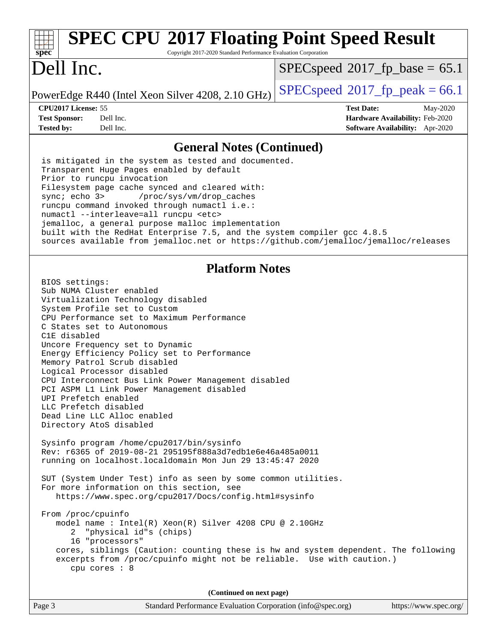### Page 3 Standard Performance Evaluation Corporation [\(info@spec.org\)](mailto:info@spec.org) <https://www.spec.org/> **[spec](http://www.spec.org/) [SPEC CPU](http://www.spec.org/auto/cpu2017/Docs/result-fields.html#SPECCPU2017FloatingPointSpeedResult)[2017 Floating Point Speed Result](http://www.spec.org/auto/cpu2017/Docs/result-fields.html#SPECCPU2017FloatingPointSpeedResult)** Copyright 2017-2020 Standard Performance Evaluation Corporation Dell Inc. PowerEdge R440 (Intel Xeon Silver 4208, 2.10 GHz)  $\left|$  [SPECspeed](http://www.spec.org/auto/cpu2017/Docs/result-fields.html#SPECspeed2017fppeak)<sup>®</sup>[2017\\_fp\\_peak = 6](http://www.spec.org/auto/cpu2017/Docs/result-fields.html#SPECspeed2017fppeak)6.1  $SPECspeed^{\circledcirc}2017$  $SPECspeed^{\circledcirc}2017$  fp base = 65.1 **[CPU2017 License:](http://www.spec.org/auto/cpu2017/Docs/result-fields.html#CPU2017License)** 55 **[Test Date:](http://www.spec.org/auto/cpu2017/Docs/result-fields.html#TestDate)** May-2020 **[Test Sponsor:](http://www.spec.org/auto/cpu2017/Docs/result-fields.html#TestSponsor)** Dell Inc. **[Hardware Availability:](http://www.spec.org/auto/cpu2017/Docs/result-fields.html#HardwareAvailability)** Feb-2020 **[Tested by:](http://www.spec.org/auto/cpu2017/Docs/result-fields.html#Testedby)** Dell Inc. **[Software Availability:](http://www.spec.org/auto/cpu2017/Docs/result-fields.html#SoftwareAvailability)** Apr-2020 **[General Notes \(Continued\)](http://www.spec.org/auto/cpu2017/Docs/result-fields.html#GeneralNotes)** is mitigated in the system as tested and documented. Transparent Huge Pages enabled by default Prior to runcpu invocation Filesystem page cache synced and cleared with: sync; echo 3> /proc/sys/vm/drop\_caches runcpu command invoked through numactl i.e.: numactl --interleave=all runcpu <etc> jemalloc, a general purpose malloc implementation built with the RedHat Enterprise 7.5, and the system compiler gcc 4.8.5 sources available from jemalloc.net or <https://github.com/jemalloc/jemalloc/releases> **[Platform Notes](http://www.spec.org/auto/cpu2017/Docs/result-fields.html#PlatformNotes)** BIOS settings: Sub NUMA Cluster enabled Virtualization Technology disabled System Profile set to Custom CPU Performance set to Maximum Performance C States set to Autonomous C1E disabled Uncore Frequency set to Dynamic Energy Efficiency Policy set to Performance Memory Patrol Scrub disabled Logical Processor disabled CPU Interconnect Bus Link Power Management disabled PCI ASPM L1 Link Power Management disabled UPI Prefetch enabled LLC Prefetch disabled Dead Line LLC Alloc enabled Directory AtoS disabled Sysinfo program /home/cpu2017/bin/sysinfo Rev: r6365 of 2019-08-21 295195f888a3d7edb1e6e46a485a0011 running on localhost.localdomain Mon Jun 29 13:45:47 2020 SUT (System Under Test) info as seen by some common utilities. For more information on this section, see <https://www.spec.org/cpu2017/Docs/config.html#sysinfo> From /proc/cpuinfo model name : Intel(R) Xeon(R) Silver 4208 CPU @ 2.10GHz 2 "physical id"s (chips) 16 "processors" cores, siblings (Caution: counting these is hw and system dependent. The following excerpts from /proc/cpuinfo might not be reliable. Use with caution.) cpu cores : 8 **(Continued on next page)**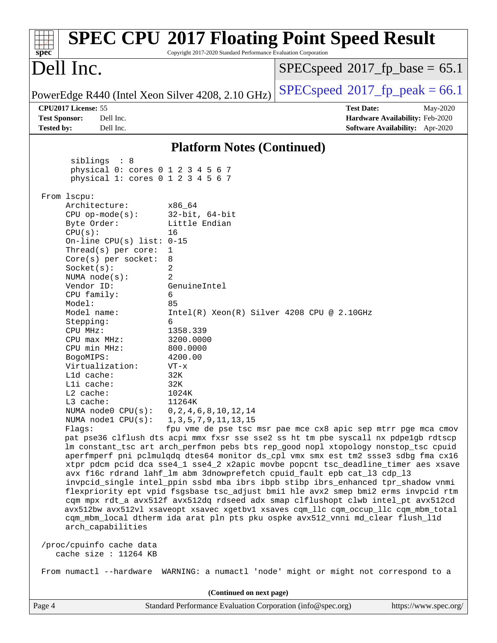| Dell Inc.<br>$SPEC speed^{\circ}2017\_fp\_base = 65.1$                                                                                                                                                                                                                                                                                                                                                                                                                                                                                                                                                                                                                                                                                                                                                                                                                                                                                                                                                                                                                                                                                                                                                                                                                                                                                                                                                                                                                                                                                                                                                                                                                                                                                                                                                                                                                                                               |  |  |  |
|----------------------------------------------------------------------------------------------------------------------------------------------------------------------------------------------------------------------------------------------------------------------------------------------------------------------------------------------------------------------------------------------------------------------------------------------------------------------------------------------------------------------------------------------------------------------------------------------------------------------------------------------------------------------------------------------------------------------------------------------------------------------------------------------------------------------------------------------------------------------------------------------------------------------------------------------------------------------------------------------------------------------------------------------------------------------------------------------------------------------------------------------------------------------------------------------------------------------------------------------------------------------------------------------------------------------------------------------------------------------------------------------------------------------------------------------------------------------------------------------------------------------------------------------------------------------------------------------------------------------------------------------------------------------------------------------------------------------------------------------------------------------------------------------------------------------------------------------------------------------------------------------------------------------|--|--|--|
|                                                                                                                                                                                                                                                                                                                                                                                                                                                                                                                                                                                                                                                                                                                                                                                                                                                                                                                                                                                                                                                                                                                                                                                                                                                                                                                                                                                                                                                                                                                                                                                                                                                                                                                                                                                                                                                                                                                      |  |  |  |
| $SPEC speed^{\circ}2017$ [p_peak = 66.1]<br>PowerEdge R440 (Intel Xeon Silver 4208, 2.10 GHz)                                                                                                                                                                                                                                                                                                                                                                                                                                                                                                                                                                                                                                                                                                                                                                                                                                                                                                                                                                                                                                                                                                                                                                                                                                                                                                                                                                                                                                                                                                                                                                                                                                                                                                                                                                                                                        |  |  |  |
| CPU2017 License: 55<br><b>Test Date:</b><br>May-2020<br><b>Test Sponsor:</b><br>Dell Inc.<br>Hardware Availability: Feb-2020<br><b>Tested by:</b><br>Dell Inc.<br>Software Availability: Apr-2020                                                                                                                                                                                                                                                                                                                                                                                                                                                                                                                                                                                                                                                                                                                                                                                                                                                                                                                                                                                                                                                                                                                                                                                                                                                                                                                                                                                                                                                                                                                                                                                                                                                                                                                    |  |  |  |
| <b>Platform Notes (Continued)</b>                                                                                                                                                                                                                                                                                                                                                                                                                                                                                                                                                                                                                                                                                                                                                                                                                                                                                                                                                                                                                                                                                                                                                                                                                                                                                                                                                                                                                                                                                                                                                                                                                                                                                                                                                                                                                                                                                    |  |  |  |
| siblings : 8<br>physical 0: cores 0 1 2 3 4 5 6 7<br>physical 1: cores 0 1 2 3 4 5 6 7                                                                                                                                                                                                                                                                                                                                                                                                                                                                                                                                                                                                                                                                                                                                                                                                                                                                                                                                                                                                                                                                                                                                                                                                                                                                                                                                                                                                                                                                                                                                                                                                                                                                                                                                                                                                                               |  |  |  |
| From 1scpu:<br>Architecture:<br>x86_64<br>$CPU$ op-mode( $s$ ):<br>$32$ -bit, $64$ -bit<br>Little Endian<br>Byte Order:<br>CPU(s):<br>16<br>On-line CPU(s) list: $0-15$<br>Thread( $s$ ) per core:<br>1<br>8<br>$Core(s)$ per socket:<br>2<br>Socket(s):<br>$\overline{2}$<br>NUMA $node(s):$<br>Vendor ID:<br>GenuineIntel<br>6<br>CPU family:<br>Model:<br>85<br>Model name:<br>$Intel(R) Xeon(R) Silver 4208 CPU @ 2.10GHz$<br>6<br>Stepping:<br>1358.339<br>CPU MHz:<br>3200.0000<br>CPU max MHz:<br>CPU min MHz:<br>800.0000<br>BogoMIPS:<br>4200.00<br>Virtualization:<br>$VT - x$<br>L1d cache:<br>32K<br>Lli cache:<br>32K<br>1024K<br>$L2$ cache:<br>L3 cache:<br>11264K<br>0, 2, 4, 6, 8, 10, 12, 14<br>NUMA node0 CPU(s):<br>NUMA $node1$ $CPU(s):$<br>1, 3, 5, 7, 9, 11, 13, 15<br>Flaqs:<br>fpu vme de pse tsc msr pae mce cx8 apic sep mtrr pge mca cmov<br>pat pse36 clflush dts acpi mmx fxsr sse sse2 ss ht tm pbe syscall nx pdpelgb rdtscp<br>lm constant_tsc art arch_perfmon pebs bts rep_good nopl xtopology nonstop_tsc cpuid<br>aperfmperf pni pclmulqdq dtes64 monitor ds_cpl vmx smx est tm2 ssse3 sdbg fma cx16<br>xtpr pdcm pcid dca sse4_1 sse4_2 x2apic movbe popcnt tsc_deadline_timer aes xsave<br>avx f16c rdrand lahf_lm abm 3dnowprefetch cpuid_fault epb cat_13 cdp_13<br>invpcid_single intel_ppin ssbd mba ibrs ibpb stibp ibrs_enhanced tpr_shadow vnmi<br>flexpriority ept vpid fsgsbase tsc_adjust bmil hle avx2 smep bmi2 erms invpcid rtm<br>cqm mpx rdt_a avx512f avx512dq rdseed adx smap clflushopt clwb intel_pt avx512cd<br>avx512bw avx512vl xsaveopt xsavec xgetbvl xsaves cqm_llc cqm_occup_llc cqm_mbm_total<br>cqm_mbm_local dtherm ida arat pln pts pku ospke avx512_vnni md_clear flush_l1d<br>arch_capabilities<br>/proc/cpuinfo cache data<br>cache size : 11264 KB<br>From numactl --hardware WARNING: a numactl 'node' might or might not correspond to a |  |  |  |
| (Continued on next page)<br>Page 4<br>Standard Performance Evaluation Corporation (info@spec.org)<br>https://www.spec.org/                                                                                                                                                                                                                                                                                                                                                                                                                                                                                                                                                                                                                                                                                                                                                                                                                                                                                                                                                                                                                                                                                                                                                                                                                                                                                                                                                                                                                                                                                                                                                                                                                                                                                                                                                                                           |  |  |  |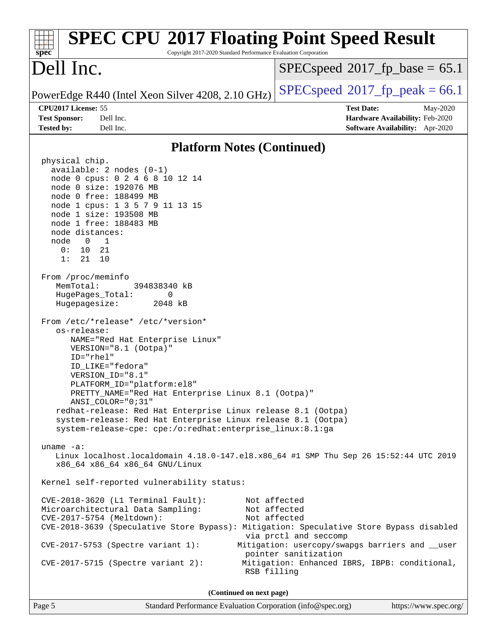| <b>SPEC CPU®2017 Floating Point Speed Result</b><br>Copyright 2017-2020 Standard Performance Evaluation Corporation<br>$spec^*$                                                                                                                                                                                                                                                                                                                                                                                                                                                                                                                                                                                                                                                                                                                                                                                                                                                                                                                                                                                                                                                                                                                                                                                                                                                                        |                                                                                                                                                                                                   |  |  |  |
|--------------------------------------------------------------------------------------------------------------------------------------------------------------------------------------------------------------------------------------------------------------------------------------------------------------------------------------------------------------------------------------------------------------------------------------------------------------------------------------------------------------------------------------------------------------------------------------------------------------------------------------------------------------------------------------------------------------------------------------------------------------------------------------------------------------------------------------------------------------------------------------------------------------------------------------------------------------------------------------------------------------------------------------------------------------------------------------------------------------------------------------------------------------------------------------------------------------------------------------------------------------------------------------------------------------------------------------------------------------------------------------------------------|---------------------------------------------------------------------------------------------------------------------------------------------------------------------------------------------------|--|--|--|
| Dell Inc.                                                                                                                                                                                                                                                                                                                                                                                                                                                                                                                                                                                                                                                                                                                                                                                                                                                                                                                                                                                                                                                                                                                                                                                                                                                                                                                                                                                              | $SPEC speed^{\circ}2017\_fp\_base = 65.1$                                                                                                                                                         |  |  |  |
| PowerEdge R440 (Intel Xeon Silver 4208, 2.10 GHz)                                                                                                                                                                                                                                                                                                                                                                                                                                                                                                                                                                                                                                                                                                                                                                                                                                                                                                                                                                                                                                                                                                                                                                                                                                                                                                                                                      | $SPEC speed^{\circ}2017$ [p_peak = 66.1                                                                                                                                                           |  |  |  |
| CPU2017 License: 55<br><b>Test Sponsor:</b><br>Dell Inc.<br><b>Tested by:</b><br>Dell Inc.                                                                                                                                                                                                                                                                                                                                                                                                                                                                                                                                                                                                                                                                                                                                                                                                                                                                                                                                                                                                                                                                                                                                                                                                                                                                                                             | <b>Test Date:</b><br>May-2020<br>Hardware Availability: Feb-2020<br><b>Software Availability:</b> Apr-2020                                                                                        |  |  |  |
| <b>Platform Notes (Continued)</b>                                                                                                                                                                                                                                                                                                                                                                                                                                                                                                                                                                                                                                                                                                                                                                                                                                                                                                                                                                                                                                                                                                                                                                                                                                                                                                                                                                      |                                                                                                                                                                                                   |  |  |  |
| physical chip.<br>available: 2 nodes (0-1)<br>node 0 cpus: 0 2 4 6 8 10 12 14<br>node 0 size: 192076 MB<br>node 0 free: 188499 MB<br>node 1 cpus: 1 3 5 7 9 11 13 15<br>node 1 size: 193508 MB<br>node 1 free: 188483 MB<br>node distances:<br>node 0<br>$\overline{\phantom{a}}$<br>0:<br>10<br>21<br>1:<br>21<br>10<br>From /proc/meminfo<br>MemTotal:<br>394838340 kB<br>HugePages_Total:<br>0<br>Hugepagesize:<br>2048 kB<br>From /etc/*release* /etc/*version*<br>os-release:<br>NAME="Red Hat Enterprise Linux"<br>VERSION="8.1 (Ootpa)"<br>$ID="rhe1"$<br>ID LIKE="fedora"<br>VERSION_ID="8.1"<br>PLATFORM_ID="platform:el8"<br>PRETTY_NAME="Red Hat Enterprise Linux 8.1 (Ootpa)"<br>ANSI_COLOR="0;31"<br>redhat-release: Red Hat Enterprise Linux release 8.1 (Ootpa)<br>system-release: Red Hat Enterprise Linux release 8.1 (Ootpa)<br>system-release-cpe: cpe:/o:redhat:enterprise_linux:8.1:ga<br>uname $-a$ :<br>Linux localhost.localdomain 4.18.0-147.el8.x86_64 #1 SMP Thu Sep 26 15:52:44 UTC 2019<br>x86_64 x86_64 x86_64 GNU/Linux<br>Kernel self-reported vulnerability status:<br>$CVE-2018-3620$ (L1 Terminal Fault):<br>Microarchitectural Data Sampling:<br>CVE-2017-5754 (Meltdown):<br>CVE-2018-3639 (Speculative Store Bypass): Mitigation: Speculative Store Bypass disabled<br>CVE-2017-5753 (Spectre variant 1):<br>$CVE-2017-5715$ (Spectre variant 2):<br>RSB filling | Not affected<br>Not affected<br>Not affected<br>via prctl and seccomp<br>Mitigation: usercopy/swapgs barriers and __user<br>pointer sanitization<br>Mitigation: Enhanced IBRS, IBPB: conditional, |  |  |  |
| (Continued on next page)                                                                                                                                                                                                                                                                                                                                                                                                                                                                                                                                                                                                                                                                                                                                                                                                                                                                                                                                                                                                                                                                                                                                                                                                                                                                                                                                                                               |                                                                                                                                                                                                   |  |  |  |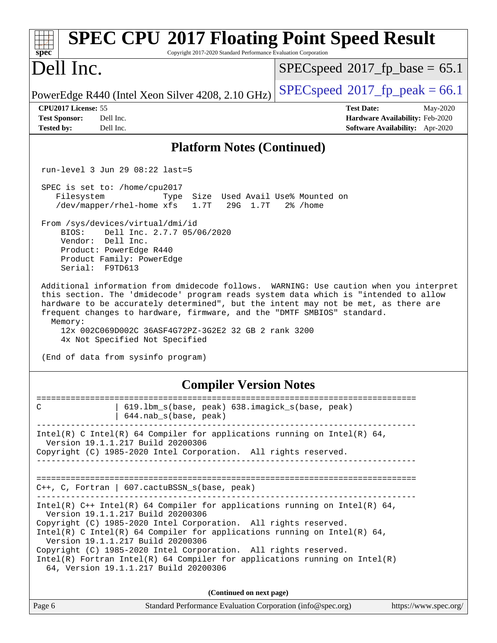| <b>SPEC CPU®2017 Floating Point Speed Result</b><br>Spec<br>Copyright 2017-2020 Standard Performance Evaluation Corporation                                                                                                                                                                                                                                                                                                                                                                       |                                                                                                     |  |  |  |
|---------------------------------------------------------------------------------------------------------------------------------------------------------------------------------------------------------------------------------------------------------------------------------------------------------------------------------------------------------------------------------------------------------------------------------------------------------------------------------------------------|-----------------------------------------------------------------------------------------------------|--|--|--|
| Dell Inc.                                                                                                                                                                                                                                                                                                                                                                                                                                                                                         | $SPEC speed^{\circ}2017\_fp\_base = 65.1$                                                           |  |  |  |
| PowerEdge R440 (Intel Xeon Silver 4208, 2.10 GHz)                                                                                                                                                                                                                                                                                                                                                                                                                                                 | $SPEC speed^{\circ}2017$ [p_peak = 66.1                                                             |  |  |  |
| CPU2017 License: 55<br><b>Test Sponsor:</b><br>Dell Inc.<br>Dell Inc.<br><b>Tested by:</b>                                                                                                                                                                                                                                                                                                                                                                                                        | <b>Test Date:</b><br>May-2020<br>Hardware Availability: Feb-2020<br>Software Availability: Apr-2020 |  |  |  |
| <b>Platform Notes (Continued)</b>                                                                                                                                                                                                                                                                                                                                                                                                                                                                 |                                                                                                     |  |  |  |
| run-level 3 Jun 29 08:22 last=5                                                                                                                                                                                                                                                                                                                                                                                                                                                                   |                                                                                                     |  |  |  |
| SPEC is set to: /home/cpu2017<br>Size Used Avail Use% Mounted on<br>Filesystem<br>Type<br>/dev/mapper/rhel-home xfs<br>1.7T<br>29G 1.7T<br>2% /home<br>From /sys/devices/virtual/dmi/id<br>Dell Inc. 2.7.7 05/06/2020<br>BIOS:<br>Vendor: Dell Inc.<br>Product: PowerEdge R440<br>Product Family: PowerEdge<br>Serial: F9TD613<br>Additional information from dmidecode follows. WARNING: Use caution when you interpret                                                                          |                                                                                                     |  |  |  |
| this section. The 'dmidecode' program reads system data which is "intended to allow<br>hardware to be accurately determined", but the intent may not be met, as there are<br>frequent changes to hardware, firmware, and the "DMTF SMBIOS" standard.<br>Memory:<br>12x 002C069D002C 36ASF4G72PZ-3G2E2 32 GB 2 rank 3200<br>4x Not Specified Not Specified<br>(End of data from sysinfo program)                                                                                                   |                                                                                                     |  |  |  |
| <b>Compiler Version Notes</b>                                                                                                                                                                                                                                                                                                                                                                                                                                                                     |                                                                                                     |  |  |  |
| 619.1bm_s(base, peak) 638.imagick_s(base, peak)<br>C<br>644.nab_s(base, peak)                                                                                                                                                                                                                                                                                                                                                                                                                     |                                                                                                     |  |  |  |
| Intel(R) C Intel(R) 64 Compiler for applications running on Intel(R) 64,<br>Version 19.1.1.217 Build 20200306<br>Copyright (C) 1985-2020 Intel Corporation. All rights reserved.<br>-----------------------------                                                                                                                                                                                                                                                                                 |                                                                                                     |  |  |  |
| $C++$ , C, Fortran   607.cactuBSSN_s(base, peak)<br>____________________________________                                                                                                                                                                                                                                                                                                                                                                                                          |                                                                                                     |  |  |  |
| Intel(R) $C++$ Intel(R) 64 Compiler for applications running on Intel(R) 64,<br>Version 19.1.1.217 Build 20200306<br>Copyright (C) 1985-2020 Intel Corporation. All rights reserved.<br>Intel(R) C Intel(R) 64 Compiler for applications running on Intel(R) 64,<br>Version 19.1.1.217 Build 20200306<br>Copyright (C) 1985-2020 Intel Corporation. All rights reserved.<br>$Intel(R)$ Fortran Intel(R) 64 Compiler for applications running on Intel(R)<br>64, Version 19.1.1.217 Build 20200306 |                                                                                                     |  |  |  |
| (Continued on next page)                                                                                                                                                                                                                                                                                                                                                                                                                                                                          |                                                                                                     |  |  |  |
| Page 6<br>Standard Performance Evaluation Corporation (info@spec.org)                                                                                                                                                                                                                                                                                                                                                                                                                             | https://www.spec.org/                                                                               |  |  |  |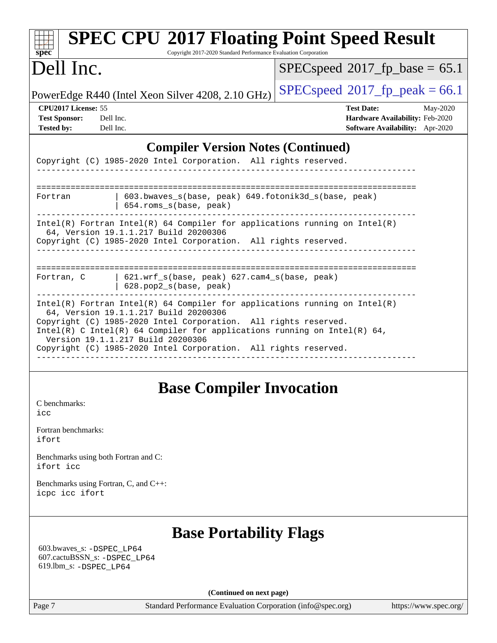| <b>SPEC CPU®2017 Floating Point Speed Result</b><br>Copyright 2017-2020 Standard Performance Evaluation Corporation<br>$spec^*$                                                                                                                                                                                                                                              |                                                                                                     |  |  |  |
|------------------------------------------------------------------------------------------------------------------------------------------------------------------------------------------------------------------------------------------------------------------------------------------------------------------------------------------------------------------------------|-----------------------------------------------------------------------------------------------------|--|--|--|
| Dell Inc.                                                                                                                                                                                                                                                                                                                                                                    | $SPEC speed^{\circ}2017$ fp base = 65.1                                                             |  |  |  |
| $SPEC speed^{\circ}2017$ fp peak = 66.1<br>PowerEdge R440 (Intel Xeon Silver 4208, 2.10 GHz)                                                                                                                                                                                                                                                                                 |                                                                                                     |  |  |  |
| CPU <sub>2017</sub> License: 55<br><b>Test Sponsor:</b><br>Dell Inc.<br><b>Tested by:</b><br>Dell Inc.                                                                                                                                                                                                                                                                       | <b>Test Date:</b><br>May-2020<br>Hardware Availability: Feb-2020<br>Software Availability: Apr-2020 |  |  |  |
| <b>Compiler Version Notes (Continued)</b>                                                                                                                                                                                                                                                                                                                                    |                                                                                                     |  |  |  |
| Copyright (C) 1985-2020 Intel Corporation. All rights reserved.                                                                                                                                                                                                                                                                                                              |                                                                                                     |  |  |  |
| 603.bwaves_s(base, peak) 649.fotonik3d_s(base, peak)<br>Fortran<br>654.roms_s(base, peak)                                                                                                                                                                                                                                                                                    |                                                                                                     |  |  |  |
| $Intel(R)$ Fortran Intel(R) 64 Compiler for applications running on Intel(R)<br>64, Version 19.1.1.217 Build 20200306<br>Copyright (C) 1985-2020 Intel Corporation. All rights reserved.                                                                                                                                                                                     |                                                                                                     |  |  |  |
| ----------------------------------<br>621.wrf_s(base, peak) 627.cam4_s(base, peak)<br>Fortran, C<br>628.pop2_s(base, peak)                                                                                                                                                                                                                                                   |                                                                                                     |  |  |  |
| $Intel(R)$ Fortran Intel(R) 64 Compiler for applications running on Intel(R)<br>64, Version 19.1.1.217 Build 20200306<br>Copyright (C) 1985-2020 Intel Corporation. All rights reserved.<br>Intel(R) C Intel(R) 64 Compiler for applications running on Intel(R) 64,<br>Version 19.1.1.217 Build 20200306<br>Copyright (C) 1985-2020 Intel Corporation. All rights reserved. |                                                                                                     |  |  |  |
| <b>Base Compiler Invocation</b><br>C benchmarks:<br>icc                                                                                                                                                                                                                                                                                                                      |                                                                                                     |  |  |  |

[Fortran benchmarks](http://www.spec.org/auto/cpu2017/Docs/result-fields.html#Fortranbenchmarks): [ifort](http://www.spec.org/cpu2017/results/res2020q3/cpu2017-20200803-23635.flags.html#user_FCbase_intel_ifort_8111460550e3ca792625aed983ce982f94888b8b503583aa7ba2b8303487b4d8a21a13e7191a45c5fd58ff318f48f9492884d4413fa793fd88dd292cad7027ca)

[Benchmarks using both Fortran and C](http://www.spec.org/auto/cpu2017/Docs/result-fields.html#BenchmarksusingbothFortranandC): [ifort](http://www.spec.org/cpu2017/results/res2020q3/cpu2017-20200803-23635.flags.html#user_CC_FCbase_intel_ifort_8111460550e3ca792625aed983ce982f94888b8b503583aa7ba2b8303487b4d8a21a13e7191a45c5fd58ff318f48f9492884d4413fa793fd88dd292cad7027ca) [icc](http://www.spec.org/cpu2017/results/res2020q3/cpu2017-20200803-23635.flags.html#user_CC_FCbase_intel_icc_66fc1ee009f7361af1fbd72ca7dcefbb700085f36577c54f309893dd4ec40d12360134090235512931783d35fd58c0460139e722d5067c5574d8eaf2b3e37e92)

[Benchmarks using Fortran, C, and C++:](http://www.spec.org/auto/cpu2017/Docs/result-fields.html#BenchmarksusingFortranCandCXX) [icpc](http://www.spec.org/cpu2017/results/res2020q3/cpu2017-20200803-23635.flags.html#user_CC_CXX_FCbase_intel_icpc_c510b6838c7f56d33e37e94d029a35b4a7bccf4766a728ee175e80a419847e808290a9b78be685c44ab727ea267ec2f070ec5dc83b407c0218cded6866a35d07) [icc](http://www.spec.org/cpu2017/results/res2020q3/cpu2017-20200803-23635.flags.html#user_CC_CXX_FCbase_intel_icc_66fc1ee009f7361af1fbd72ca7dcefbb700085f36577c54f309893dd4ec40d12360134090235512931783d35fd58c0460139e722d5067c5574d8eaf2b3e37e92) [ifort](http://www.spec.org/cpu2017/results/res2020q3/cpu2017-20200803-23635.flags.html#user_CC_CXX_FCbase_intel_ifort_8111460550e3ca792625aed983ce982f94888b8b503583aa7ba2b8303487b4d8a21a13e7191a45c5fd58ff318f48f9492884d4413fa793fd88dd292cad7027ca)

## **[Base Portability Flags](http://www.spec.org/auto/cpu2017/Docs/result-fields.html#BasePortabilityFlags)**

 603.bwaves\_s: [-DSPEC\\_LP64](http://www.spec.org/cpu2017/results/res2020q3/cpu2017-20200803-23635.flags.html#suite_basePORTABILITY603_bwaves_s_DSPEC_LP64) 607.cactuBSSN\_s: [-DSPEC\\_LP64](http://www.spec.org/cpu2017/results/res2020q3/cpu2017-20200803-23635.flags.html#suite_basePORTABILITY607_cactuBSSN_s_DSPEC_LP64) 619.lbm\_s: [-DSPEC\\_LP64](http://www.spec.org/cpu2017/results/res2020q3/cpu2017-20200803-23635.flags.html#suite_basePORTABILITY619_lbm_s_DSPEC_LP64)

**(Continued on next page)**

Page 7 Standard Performance Evaluation Corporation [\(info@spec.org\)](mailto:info@spec.org) <https://www.spec.org/>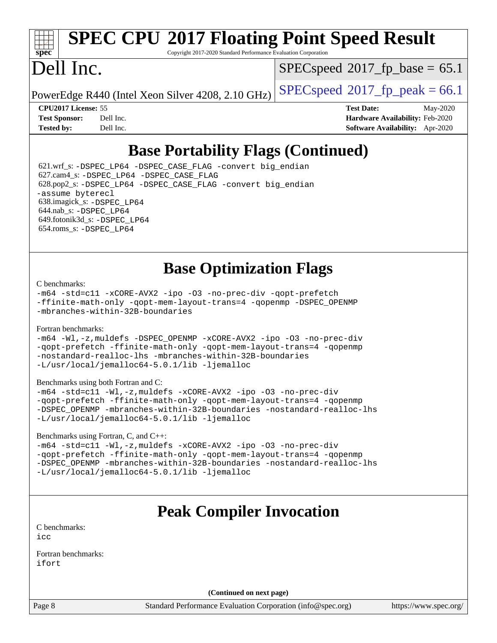# **[spec](http://www.spec.org/)**

# **[SPEC CPU](http://www.spec.org/auto/cpu2017/Docs/result-fields.html#SPECCPU2017FloatingPointSpeedResult)[2017 Floating Point Speed Result](http://www.spec.org/auto/cpu2017/Docs/result-fields.html#SPECCPU2017FloatingPointSpeedResult)**

Copyright 2017-2020 Standard Performance Evaluation Corporation

## Dell Inc.

 $SPECspeed^{\circledcirc}2017$  $SPECspeed^{\circledcirc}2017$  fp base = 65.1

PowerEdge R440 (Intel Xeon Silver 4208, 2.10 GHz)  $\left|$  [SPECspeed](http://www.spec.org/auto/cpu2017/Docs/result-fields.html#SPECspeed2017fppeak)<sup>®</sup>[2017\\_fp\\_peak = 6](http://www.spec.org/auto/cpu2017/Docs/result-fields.html#SPECspeed2017fppeak)6.1

**[CPU2017 License:](http://www.spec.org/auto/cpu2017/Docs/result-fields.html#CPU2017License)** 55 **[Test Date:](http://www.spec.org/auto/cpu2017/Docs/result-fields.html#TestDate)** May-2020 **[Test Sponsor:](http://www.spec.org/auto/cpu2017/Docs/result-fields.html#TestSponsor)** Dell Inc. **[Hardware Availability:](http://www.spec.org/auto/cpu2017/Docs/result-fields.html#HardwareAvailability)** Feb-2020 **[Tested by:](http://www.spec.org/auto/cpu2017/Docs/result-fields.html#Testedby)** Dell Inc. **[Software Availability:](http://www.spec.org/auto/cpu2017/Docs/result-fields.html#SoftwareAvailability)** Apr-2020

## **[Base Portability Flags \(Continued\)](http://www.spec.org/auto/cpu2017/Docs/result-fields.html#BasePortabilityFlags)**

 621.wrf\_s: [-DSPEC\\_LP64](http://www.spec.org/cpu2017/results/res2020q3/cpu2017-20200803-23635.flags.html#suite_basePORTABILITY621_wrf_s_DSPEC_LP64) [-DSPEC\\_CASE\\_FLAG](http://www.spec.org/cpu2017/results/res2020q3/cpu2017-20200803-23635.flags.html#b621.wrf_s_baseCPORTABILITY_DSPEC_CASE_FLAG) [-convert big\\_endian](http://www.spec.org/cpu2017/results/res2020q3/cpu2017-20200803-23635.flags.html#user_baseFPORTABILITY621_wrf_s_convert_big_endian_c3194028bc08c63ac5d04de18c48ce6d347e4e562e8892b8bdbdc0214820426deb8554edfa529a3fb25a586e65a3d812c835984020483e7e73212c4d31a38223) 627.cam4\_s: [-DSPEC\\_LP64](http://www.spec.org/cpu2017/results/res2020q3/cpu2017-20200803-23635.flags.html#suite_basePORTABILITY627_cam4_s_DSPEC_LP64) [-DSPEC\\_CASE\\_FLAG](http://www.spec.org/cpu2017/results/res2020q3/cpu2017-20200803-23635.flags.html#b627.cam4_s_baseCPORTABILITY_DSPEC_CASE_FLAG) 628.pop2\_s: [-DSPEC\\_LP64](http://www.spec.org/cpu2017/results/res2020q3/cpu2017-20200803-23635.flags.html#suite_basePORTABILITY628_pop2_s_DSPEC_LP64) [-DSPEC\\_CASE\\_FLAG](http://www.spec.org/cpu2017/results/res2020q3/cpu2017-20200803-23635.flags.html#b628.pop2_s_baseCPORTABILITY_DSPEC_CASE_FLAG) [-convert big\\_endian](http://www.spec.org/cpu2017/results/res2020q3/cpu2017-20200803-23635.flags.html#user_baseFPORTABILITY628_pop2_s_convert_big_endian_c3194028bc08c63ac5d04de18c48ce6d347e4e562e8892b8bdbdc0214820426deb8554edfa529a3fb25a586e65a3d812c835984020483e7e73212c4d31a38223) [-assume byterecl](http://www.spec.org/cpu2017/results/res2020q3/cpu2017-20200803-23635.flags.html#user_baseFPORTABILITY628_pop2_s_assume_byterecl_7e47d18b9513cf18525430bbf0f2177aa9bf368bc7a059c09b2c06a34b53bd3447c950d3f8d6c70e3faf3a05c8557d66a5798b567902e8849adc142926523472) 638.imagick\_s: [-DSPEC\\_LP64](http://www.spec.org/cpu2017/results/res2020q3/cpu2017-20200803-23635.flags.html#suite_basePORTABILITY638_imagick_s_DSPEC_LP64) 644.nab\_s: [-DSPEC\\_LP64](http://www.spec.org/cpu2017/results/res2020q3/cpu2017-20200803-23635.flags.html#suite_basePORTABILITY644_nab_s_DSPEC_LP64) 649.fotonik3d\_s: [-DSPEC\\_LP64](http://www.spec.org/cpu2017/results/res2020q3/cpu2017-20200803-23635.flags.html#suite_basePORTABILITY649_fotonik3d_s_DSPEC_LP64) 654.roms\_s: [-DSPEC\\_LP64](http://www.spec.org/cpu2017/results/res2020q3/cpu2017-20200803-23635.flags.html#suite_basePORTABILITY654_roms_s_DSPEC_LP64)

**[Base Optimization Flags](http://www.spec.org/auto/cpu2017/Docs/result-fields.html#BaseOptimizationFlags)**

### [C benchmarks](http://www.spec.org/auto/cpu2017/Docs/result-fields.html#Cbenchmarks):

[-m64](http://www.spec.org/cpu2017/results/res2020q3/cpu2017-20200803-23635.flags.html#user_CCbase_m64-icc) [-std=c11](http://www.spec.org/cpu2017/results/res2020q3/cpu2017-20200803-23635.flags.html#user_CCbase_std-icc-std_0e1c27790398a4642dfca32ffe6c27b5796f9c2d2676156f2e42c9c44eaad0c049b1cdb667a270c34d979996257aeb8fc440bfb01818dbc9357bd9d174cb8524) [-xCORE-AVX2](http://www.spec.org/cpu2017/results/res2020q3/cpu2017-20200803-23635.flags.html#user_CCbase_f-xCORE-AVX2) [-ipo](http://www.spec.org/cpu2017/results/res2020q3/cpu2017-20200803-23635.flags.html#user_CCbase_f-ipo) [-O3](http://www.spec.org/cpu2017/results/res2020q3/cpu2017-20200803-23635.flags.html#user_CCbase_f-O3) [-no-prec-div](http://www.spec.org/cpu2017/results/res2020q3/cpu2017-20200803-23635.flags.html#user_CCbase_f-no-prec-div) [-qopt-prefetch](http://www.spec.org/cpu2017/results/res2020q3/cpu2017-20200803-23635.flags.html#user_CCbase_f-qopt-prefetch) [-ffinite-math-only](http://www.spec.org/cpu2017/results/res2020q3/cpu2017-20200803-23635.flags.html#user_CCbase_f_finite_math_only_cb91587bd2077682c4b38af759c288ed7c732db004271a9512da14a4f8007909a5f1427ecbf1a0fb78ff2a814402c6114ac565ca162485bbcae155b5e4258871) [-qopt-mem-layout-trans=4](http://www.spec.org/cpu2017/results/res2020q3/cpu2017-20200803-23635.flags.html#user_CCbase_f-qopt-mem-layout-trans_fa39e755916c150a61361b7846f310bcdf6f04e385ef281cadf3647acec3f0ae266d1a1d22d972a7087a248fd4e6ca390a3634700869573d231a252c784941a8) [-qopenmp](http://www.spec.org/cpu2017/results/res2020q3/cpu2017-20200803-23635.flags.html#user_CCbase_qopenmp_16be0c44f24f464004c6784a7acb94aca937f053568ce72f94b139a11c7c168634a55f6653758ddd83bcf7b8463e8028bb0b48b77bcddc6b78d5d95bb1df2967) [-DSPEC\\_OPENMP](http://www.spec.org/cpu2017/results/res2020q3/cpu2017-20200803-23635.flags.html#suite_CCbase_DSPEC_OPENMP) [-mbranches-within-32B-boundaries](http://www.spec.org/cpu2017/results/res2020q3/cpu2017-20200803-23635.flags.html#user_CCbase_f-mbranches-within-32B-boundaries)

### [Fortran benchmarks](http://www.spec.org/auto/cpu2017/Docs/result-fields.html#Fortranbenchmarks):

[-m64](http://www.spec.org/cpu2017/results/res2020q3/cpu2017-20200803-23635.flags.html#user_FCbase_m64-icc) [-Wl,-z,muldefs](http://www.spec.org/cpu2017/results/res2020q3/cpu2017-20200803-23635.flags.html#user_FCbase_link_force_multiple1_b4cbdb97b34bdee9ceefcfe54f4c8ea74255f0b02a4b23e853cdb0e18eb4525ac79b5a88067c842dd0ee6996c24547a27a4b99331201badda8798ef8a743f577) [-DSPEC\\_OPENMP](http://www.spec.org/cpu2017/results/res2020q3/cpu2017-20200803-23635.flags.html#suite_FCbase_DSPEC_OPENMP) [-xCORE-AVX2](http://www.spec.org/cpu2017/results/res2020q3/cpu2017-20200803-23635.flags.html#user_FCbase_f-xCORE-AVX2) [-ipo](http://www.spec.org/cpu2017/results/res2020q3/cpu2017-20200803-23635.flags.html#user_FCbase_f-ipo) [-O3](http://www.spec.org/cpu2017/results/res2020q3/cpu2017-20200803-23635.flags.html#user_FCbase_f-O3) [-no-prec-div](http://www.spec.org/cpu2017/results/res2020q3/cpu2017-20200803-23635.flags.html#user_FCbase_f-no-prec-div) [-qopt-prefetch](http://www.spec.org/cpu2017/results/res2020q3/cpu2017-20200803-23635.flags.html#user_FCbase_f-qopt-prefetch) [-ffinite-math-only](http://www.spec.org/cpu2017/results/res2020q3/cpu2017-20200803-23635.flags.html#user_FCbase_f_finite_math_only_cb91587bd2077682c4b38af759c288ed7c732db004271a9512da14a4f8007909a5f1427ecbf1a0fb78ff2a814402c6114ac565ca162485bbcae155b5e4258871) [-qopt-mem-layout-trans=4](http://www.spec.org/cpu2017/results/res2020q3/cpu2017-20200803-23635.flags.html#user_FCbase_f-qopt-mem-layout-trans_fa39e755916c150a61361b7846f310bcdf6f04e385ef281cadf3647acec3f0ae266d1a1d22d972a7087a248fd4e6ca390a3634700869573d231a252c784941a8) [-qopenmp](http://www.spec.org/cpu2017/results/res2020q3/cpu2017-20200803-23635.flags.html#user_FCbase_qopenmp_16be0c44f24f464004c6784a7acb94aca937f053568ce72f94b139a11c7c168634a55f6653758ddd83bcf7b8463e8028bb0b48b77bcddc6b78d5d95bb1df2967) [-nostandard-realloc-lhs](http://www.spec.org/cpu2017/results/res2020q3/cpu2017-20200803-23635.flags.html#user_FCbase_f_2003_std_realloc_82b4557e90729c0f113870c07e44d33d6f5a304b4f63d4c15d2d0f1fab99f5daaed73bdb9275d9ae411527f28b936061aa8b9c8f2d63842963b95c9dd6426b8a) [-mbranches-within-32B-boundaries](http://www.spec.org/cpu2017/results/res2020q3/cpu2017-20200803-23635.flags.html#user_FCbase_f-mbranches-within-32B-boundaries) [-L/usr/local/jemalloc64-5.0.1/lib](http://www.spec.org/cpu2017/results/res2020q3/cpu2017-20200803-23635.flags.html#user_FCbase_jemalloc_link_path64_1_cc289568b1a6c0fd3b62c91b824c27fcb5af5e8098e6ad028160d21144ef1b8aef3170d2acf0bee98a8da324cfe4f67d0a3d0c4cc4673d993d694dc2a0df248b) [-ljemalloc](http://www.spec.org/cpu2017/results/res2020q3/cpu2017-20200803-23635.flags.html#user_FCbase_jemalloc_link_lib_d1249b907c500fa1c0672f44f562e3d0f79738ae9e3c4a9c376d49f265a04b9c99b167ecedbf6711b3085be911c67ff61f150a17b3472be731631ba4d0471706)

[Benchmarks using both Fortran and C](http://www.spec.org/auto/cpu2017/Docs/result-fields.html#BenchmarksusingbothFortranandC):

[-m64](http://www.spec.org/cpu2017/results/res2020q3/cpu2017-20200803-23635.flags.html#user_CC_FCbase_m64-icc) [-std=c11](http://www.spec.org/cpu2017/results/res2020q3/cpu2017-20200803-23635.flags.html#user_CC_FCbase_std-icc-std_0e1c27790398a4642dfca32ffe6c27b5796f9c2d2676156f2e42c9c44eaad0c049b1cdb667a270c34d979996257aeb8fc440bfb01818dbc9357bd9d174cb8524) [-Wl,-z,muldefs](http://www.spec.org/cpu2017/results/res2020q3/cpu2017-20200803-23635.flags.html#user_CC_FCbase_link_force_multiple1_b4cbdb97b34bdee9ceefcfe54f4c8ea74255f0b02a4b23e853cdb0e18eb4525ac79b5a88067c842dd0ee6996c24547a27a4b99331201badda8798ef8a743f577) [-xCORE-AVX2](http://www.spec.org/cpu2017/results/res2020q3/cpu2017-20200803-23635.flags.html#user_CC_FCbase_f-xCORE-AVX2) [-ipo](http://www.spec.org/cpu2017/results/res2020q3/cpu2017-20200803-23635.flags.html#user_CC_FCbase_f-ipo) [-O3](http://www.spec.org/cpu2017/results/res2020q3/cpu2017-20200803-23635.flags.html#user_CC_FCbase_f-O3) [-no-prec-div](http://www.spec.org/cpu2017/results/res2020q3/cpu2017-20200803-23635.flags.html#user_CC_FCbase_f-no-prec-div) [-qopt-prefetch](http://www.spec.org/cpu2017/results/res2020q3/cpu2017-20200803-23635.flags.html#user_CC_FCbase_f-qopt-prefetch) [-ffinite-math-only](http://www.spec.org/cpu2017/results/res2020q3/cpu2017-20200803-23635.flags.html#user_CC_FCbase_f_finite_math_only_cb91587bd2077682c4b38af759c288ed7c732db004271a9512da14a4f8007909a5f1427ecbf1a0fb78ff2a814402c6114ac565ca162485bbcae155b5e4258871) [-qopt-mem-layout-trans=4](http://www.spec.org/cpu2017/results/res2020q3/cpu2017-20200803-23635.flags.html#user_CC_FCbase_f-qopt-mem-layout-trans_fa39e755916c150a61361b7846f310bcdf6f04e385ef281cadf3647acec3f0ae266d1a1d22d972a7087a248fd4e6ca390a3634700869573d231a252c784941a8) [-qopenmp](http://www.spec.org/cpu2017/results/res2020q3/cpu2017-20200803-23635.flags.html#user_CC_FCbase_qopenmp_16be0c44f24f464004c6784a7acb94aca937f053568ce72f94b139a11c7c168634a55f6653758ddd83bcf7b8463e8028bb0b48b77bcddc6b78d5d95bb1df2967) [-DSPEC\\_OPENMP](http://www.spec.org/cpu2017/results/res2020q3/cpu2017-20200803-23635.flags.html#suite_CC_FCbase_DSPEC_OPENMP) [-mbranches-within-32B-boundaries](http://www.spec.org/cpu2017/results/res2020q3/cpu2017-20200803-23635.flags.html#user_CC_FCbase_f-mbranches-within-32B-boundaries) [-nostandard-realloc-lhs](http://www.spec.org/cpu2017/results/res2020q3/cpu2017-20200803-23635.flags.html#user_CC_FCbase_f_2003_std_realloc_82b4557e90729c0f113870c07e44d33d6f5a304b4f63d4c15d2d0f1fab99f5daaed73bdb9275d9ae411527f28b936061aa8b9c8f2d63842963b95c9dd6426b8a) [-L/usr/local/jemalloc64-5.0.1/lib](http://www.spec.org/cpu2017/results/res2020q3/cpu2017-20200803-23635.flags.html#user_CC_FCbase_jemalloc_link_path64_1_cc289568b1a6c0fd3b62c91b824c27fcb5af5e8098e6ad028160d21144ef1b8aef3170d2acf0bee98a8da324cfe4f67d0a3d0c4cc4673d993d694dc2a0df248b) [-ljemalloc](http://www.spec.org/cpu2017/results/res2020q3/cpu2017-20200803-23635.flags.html#user_CC_FCbase_jemalloc_link_lib_d1249b907c500fa1c0672f44f562e3d0f79738ae9e3c4a9c376d49f265a04b9c99b167ecedbf6711b3085be911c67ff61f150a17b3472be731631ba4d0471706)

[Benchmarks using Fortran, C, and C++:](http://www.spec.org/auto/cpu2017/Docs/result-fields.html#BenchmarksusingFortranCandCXX)

[-m64](http://www.spec.org/cpu2017/results/res2020q3/cpu2017-20200803-23635.flags.html#user_CC_CXX_FCbase_m64-icc) [-std=c11](http://www.spec.org/cpu2017/results/res2020q3/cpu2017-20200803-23635.flags.html#user_CC_CXX_FCbase_std-icc-std_0e1c27790398a4642dfca32ffe6c27b5796f9c2d2676156f2e42c9c44eaad0c049b1cdb667a270c34d979996257aeb8fc440bfb01818dbc9357bd9d174cb8524) [-Wl,-z,muldefs](http://www.spec.org/cpu2017/results/res2020q3/cpu2017-20200803-23635.flags.html#user_CC_CXX_FCbase_link_force_multiple1_b4cbdb97b34bdee9ceefcfe54f4c8ea74255f0b02a4b23e853cdb0e18eb4525ac79b5a88067c842dd0ee6996c24547a27a4b99331201badda8798ef8a743f577) [-xCORE-AVX2](http://www.spec.org/cpu2017/results/res2020q3/cpu2017-20200803-23635.flags.html#user_CC_CXX_FCbase_f-xCORE-AVX2) [-ipo](http://www.spec.org/cpu2017/results/res2020q3/cpu2017-20200803-23635.flags.html#user_CC_CXX_FCbase_f-ipo) [-O3](http://www.spec.org/cpu2017/results/res2020q3/cpu2017-20200803-23635.flags.html#user_CC_CXX_FCbase_f-O3) [-no-prec-div](http://www.spec.org/cpu2017/results/res2020q3/cpu2017-20200803-23635.flags.html#user_CC_CXX_FCbase_f-no-prec-div) [-qopt-prefetch](http://www.spec.org/cpu2017/results/res2020q3/cpu2017-20200803-23635.flags.html#user_CC_CXX_FCbase_f-qopt-prefetch) [-ffinite-math-only](http://www.spec.org/cpu2017/results/res2020q3/cpu2017-20200803-23635.flags.html#user_CC_CXX_FCbase_f_finite_math_only_cb91587bd2077682c4b38af759c288ed7c732db004271a9512da14a4f8007909a5f1427ecbf1a0fb78ff2a814402c6114ac565ca162485bbcae155b5e4258871) [-qopt-mem-layout-trans=4](http://www.spec.org/cpu2017/results/res2020q3/cpu2017-20200803-23635.flags.html#user_CC_CXX_FCbase_f-qopt-mem-layout-trans_fa39e755916c150a61361b7846f310bcdf6f04e385ef281cadf3647acec3f0ae266d1a1d22d972a7087a248fd4e6ca390a3634700869573d231a252c784941a8) [-qopenmp](http://www.spec.org/cpu2017/results/res2020q3/cpu2017-20200803-23635.flags.html#user_CC_CXX_FCbase_qopenmp_16be0c44f24f464004c6784a7acb94aca937f053568ce72f94b139a11c7c168634a55f6653758ddd83bcf7b8463e8028bb0b48b77bcddc6b78d5d95bb1df2967) [-DSPEC\\_OPENMP](http://www.spec.org/cpu2017/results/res2020q3/cpu2017-20200803-23635.flags.html#suite_CC_CXX_FCbase_DSPEC_OPENMP) [-mbranches-within-32B-boundaries](http://www.spec.org/cpu2017/results/res2020q3/cpu2017-20200803-23635.flags.html#user_CC_CXX_FCbase_f-mbranches-within-32B-boundaries) [-nostandard-realloc-lhs](http://www.spec.org/cpu2017/results/res2020q3/cpu2017-20200803-23635.flags.html#user_CC_CXX_FCbase_f_2003_std_realloc_82b4557e90729c0f113870c07e44d33d6f5a304b4f63d4c15d2d0f1fab99f5daaed73bdb9275d9ae411527f28b936061aa8b9c8f2d63842963b95c9dd6426b8a) [-L/usr/local/jemalloc64-5.0.1/lib](http://www.spec.org/cpu2017/results/res2020q3/cpu2017-20200803-23635.flags.html#user_CC_CXX_FCbase_jemalloc_link_path64_1_cc289568b1a6c0fd3b62c91b824c27fcb5af5e8098e6ad028160d21144ef1b8aef3170d2acf0bee98a8da324cfe4f67d0a3d0c4cc4673d993d694dc2a0df248b) [-ljemalloc](http://www.spec.org/cpu2017/results/res2020q3/cpu2017-20200803-23635.flags.html#user_CC_CXX_FCbase_jemalloc_link_lib_d1249b907c500fa1c0672f44f562e3d0f79738ae9e3c4a9c376d49f265a04b9c99b167ecedbf6711b3085be911c67ff61f150a17b3472be731631ba4d0471706)

## **[Peak Compiler Invocation](http://www.spec.org/auto/cpu2017/Docs/result-fields.html#PeakCompilerInvocation)**

[C benchmarks](http://www.spec.org/auto/cpu2017/Docs/result-fields.html#Cbenchmarks): [icc](http://www.spec.org/cpu2017/results/res2020q3/cpu2017-20200803-23635.flags.html#user_CCpeak_intel_icc_66fc1ee009f7361af1fbd72ca7dcefbb700085f36577c54f309893dd4ec40d12360134090235512931783d35fd58c0460139e722d5067c5574d8eaf2b3e37e92)

[Fortran benchmarks](http://www.spec.org/auto/cpu2017/Docs/result-fields.html#Fortranbenchmarks): [ifort](http://www.spec.org/cpu2017/results/res2020q3/cpu2017-20200803-23635.flags.html#user_FCpeak_intel_ifort_8111460550e3ca792625aed983ce982f94888b8b503583aa7ba2b8303487b4d8a21a13e7191a45c5fd58ff318f48f9492884d4413fa793fd88dd292cad7027ca)

**(Continued on next page)**

Page 8 Standard Performance Evaluation Corporation [\(info@spec.org\)](mailto:info@spec.org) <https://www.spec.org/>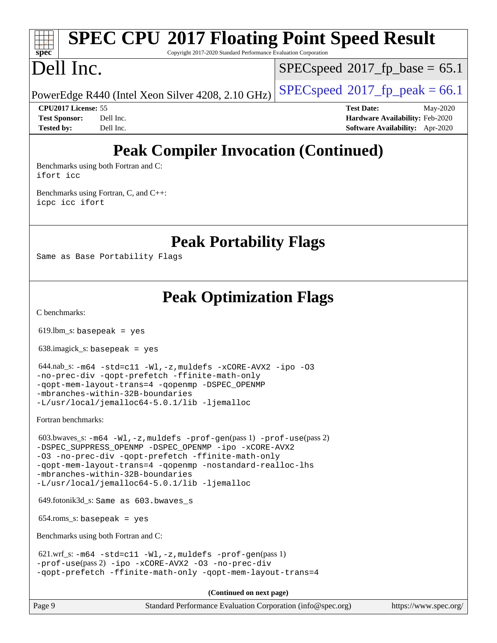# **[spec](http://www.spec.org/)**

# **[SPEC CPU](http://www.spec.org/auto/cpu2017/Docs/result-fields.html#SPECCPU2017FloatingPointSpeedResult)[2017 Floating Point Speed Result](http://www.spec.org/auto/cpu2017/Docs/result-fields.html#SPECCPU2017FloatingPointSpeedResult)**

Copyright 2017-2020 Standard Performance Evaluation Corporation

## Dell Inc.

 $SPECspeed^{\circledcirc}2017$  $SPECspeed^{\circledcirc}2017$  fp base = 65.1

PowerEdge R440 (Intel Xeon Silver 4208, 2.10 GHz)  $\left|$  [SPECspeed](http://www.spec.org/auto/cpu2017/Docs/result-fields.html#SPECspeed2017fppeak)®[2017\\_fp\\_peak = 6](http://www.spec.org/auto/cpu2017/Docs/result-fields.html#SPECspeed2017fppeak)6.1

**[CPU2017 License:](http://www.spec.org/auto/cpu2017/Docs/result-fields.html#CPU2017License)** 55 **[Test Date:](http://www.spec.org/auto/cpu2017/Docs/result-fields.html#TestDate)** May-2020 **[Test Sponsor:](http://www.spec.org/auto/cpu2017/Docs/result-fields.html#TestSponsor)** Dell Inc. **[Hardware Availability:](http://www.spec.org/auto/cpu2017/Docs/result-fields.html#HardwareAvailability)** Feb-2020 **[Tested by:](http://www.spec.org/auto/cpu2017/Docs/result-fields.html#Testedby)** Dell Inc. **[Software Availability:](http://www.spec.org/auto/cpu2017/Docs/result-fields.html#SoftwareAvailability)** Apr-2020

## **[Peak Compiler Invocation \(Continued\)](http://www.spec.org/auto/cpu2017/Docs/result-fields.html#PeakCompilerInvocation)**

[Benchmarks using both Fortran and C](http://www.spec.org/auto/cpu2017/Docs/result-fields.html#BenchmarksusingbothFortranandC): [ifort](http://www.spec.org/cpu2017/results/res2020q3/cpu2017-20200803-23635.flags.html#user_CC_FCpeak_intel_ifort_8111460550e3ca792625aed983ce982f94888b8b503583aa7ba2b8303487b4d8a21a13e7191a45c5fd58ff318f48f9492884d4413fa793fd88dd292cad7027ca) [icc](http://www.spec.org/cpu2017/results/res2020q3/cpu2017-20200803-23635.flags.html#user_CC_FCpeak_intel_icc_66fc1ee009f7361af1fbd72ca7dcefbb700085f36577c54f309893dd4ec40d12360134090235512931783d35fd58c0460139e722d5067c5574d8eaf2b3e37e92)

[Benchmarks using Fortran, C, and C++:](http://www.spec.org/auto/cpu2017/Docs/result-fields.html#BenchmarksusingFortranCandCXX) [icpc](http://www.spec.org/cpu2017/results/res2020q3/cpu2017-20200803-23635.flags.html#user_CC_CXX_FCpeak_intel_icpc_c510b6838c7f56d33e37e94d029a35b4a7bccf4766a728ee175e80a419847e808290a9b78be685c44ab727ea267ec2f070ec5dc83b407c0218cded6866a35d07) [icc](http://www.spec.org/cpu2017/results/res2020q3/cpu2017-20200803-23635.flags.html#user_CC_CXX_FCpeak_intel_icc_66fc1ee009f7361af1fbd72ca7dcefbb700085f36577c54f309893dd4ec40d12360134090235512931783d35fd58c0460139e722d5067c5574d8eaf2b3e37e92) [ifort](http://www.spec.org/cpu2017/results/res2020q3/cpu2017-20200803-23635.flags.html#user_CC_CXX_FCpeak_intel_ifort_8111460550e3ca792625aed983ce982f94888b8b503583aa7ba2b8303487b4d8a21a13e7191a45c5fd58ff318f48f9492884d4413fa793fd88dd292cad7027ca)

**[Peak Portability Flags](http://www.spec.org/auto/cpu2017/Docs/result-fields.html#PeakPortabilityFlags)**

Same as Base Portability Flags

## **[Peak Optimization Flags](http://www.spec.org/auto/cpu2017/Docs/result-fields.html#PeakOptimizationFlags)**

[C benchmarks](http://www.spec.org/auto/cpu2017/Docs/result-fields.html#Cbenchmarks):

 $619.$ lbm\_s: basepeak = yes

638.imagick\_s: basepeak = yes

```
 644.nab_s: -m64 -std=c11 -Wl,-z,muldefs -xCORE-AVX2 -ipo -O3
-no-prec-div -qopt-prefetch -ffinite-math-only
-qopt-mem-layout-trans=4 -qopenmp -DSPEC_OPENMP
-mbranches-within-32B-boundaries
-L/usr/local/jemalloc64-5.0.1/lib -ljemalloc
```
[Fortran benchmarks](http://www.spec.org/auto/cpu2017/Docs/result-fields.html#Fortranbenchmarks):

```
 603.bwaves_s: -m64 -Wl,-z,muldefs -prof-gen(pass 1) -prof-use(pass 2)
-ipo-xCORE-AVX2
-O3 -no-prec-div -qopt-prefetch -ffinite-math-only
-qopt-mem-layout-trans=4 -qopenmp -nostandard-realloc-lhs
-mbranches-within-32B-boundaries
-L/usr/local/jemalloc64-5.0.1/lib -ljemalloc
```
649.fotonik3d\_s: Same as 603.bwaves\_s

654.roms\_s: basepeak = yes

[Benchmarks using both Fortran and C](http://www.spec.org/auto/cpu2017/Docs/result-fields.html#BenchmarksusingbothFortranandC):

```
-m64-prof-gen(pass 1)-prof-use(pass 2) -ipo -xCORE-AVX2 -O3 -no-prec-div
-qopt-prefetch -ffinite-math-only -qopt-mem-layout-trans=4
```
**(Continued on next page)**